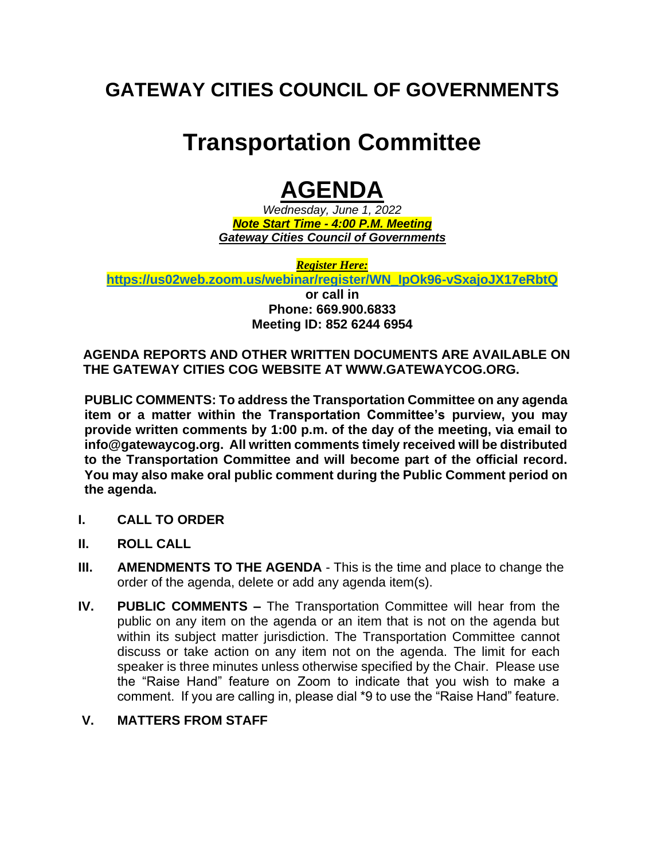### **GATEWAY CITIES COUNCIL OF GOVERNMENTS**

# **Transportation Committee**

## **AGENDA**

*Wednesday, June 1, 2022 Note Start Time - 4:00 P.M. Meeting Gateway Cities Council of Governments*

*Register Here:*

**[https://us02web.zoom.us/webinar/register/WN\\_IpOk96-vSxajoJX17eRbtQ](https://us02web.zoom.us/webinar/register/WN_IpOk96-vSxajoJX17eRbtQ) or call in Phone: 669.900.6833 Meeting ID: 852 6244 6954**

**AGENDA REPORTS AND OTHER WRITTEN DOCUMENTS ARE AVAILABLE ON THE GATEWAY CITIES COG WEBSITE AT WWW.GATEWAYCOG.ORG.** 

**PUBLIC COMMENTS: To address the Transportation Committee on any agenda item or a matter within the Transportation Committee's purview, you may provide written comments by 1:00 p.m. of the day of the meeting, via email to info@gatewaycog.org. All written comments timely received will be distributed to the Transportation Committee and will become part of the official record. You may also make oral public comment during the Public Comment period on the agenda.** 

- **I. CALL TO ORDER**
- **II. ROLL CALL**
- **III. AMENDMENTS TO THE AGENDA**  This is the time and place to change the order of the agenda, delete or add any agenda item(s).
- **IV. PUBLIC COMMENTS –** The Transportation Committee will hear from the public on any item on the agenda or an item that is not on the agenda but within its subject matter jurisdiction. The Transportation Committee cannot discuss or take action on any item not on the agenda. The limit for each speaker is three minutes unless otherwise specified by the Chair. Please use the "Raise Hand" feature on Zoom to indicate that you wish to make a comment. If you are calling in, please dial \*9 to use the "Raise Hand" feature.

#### **V. MATTERS FROM STAFF**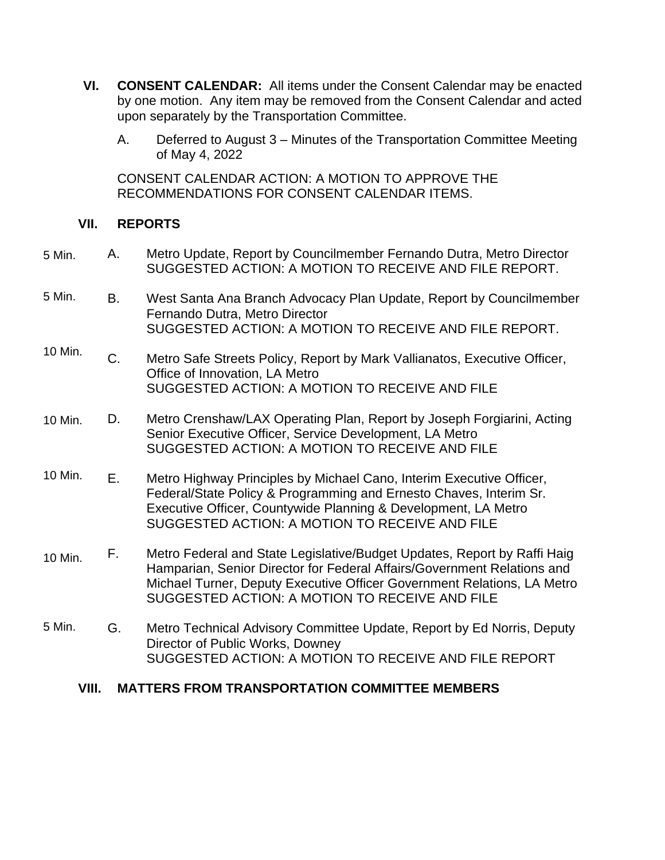- **VI. CONSENT CALENDAR:** All items under the Consent Calendar may be enacted by one motion. Any item may be removed from the Consent Calendar and acted upon separately by the Transportation Committee.
	- A. Deferred to August 3 Minutes of the Transportation Committee Meeting of May 4, 2022

CONSENT CALENDAR ACTION: A MOTION TO APPROVE THE RECOMMENDATIONS FOR CONSENT CALENDAR ITEMS.

#### **VII. REPORTS**

- A. Metro Update, Report by Councilmember Fernando Dutra, Metro Director SUGGESTED ACTION: A MOTION TO RECEIVE AND FILE REPORT. 5 Min.
- B. West Santa Ana Branch Advocacy Plan Update, Report by Councilmember Fernando Dutra, Metro Director SUGGESTED ACTION: A MOTION TO RECEIVE AND FILE REPORT. 5 Min.
- C. Metro Safe Streets Policy, Report by Mark Vallianatos, Executive Officer, Office of Innovation, LA Metro SUGGESTED ACTION: A MOTION TO RECEIVE AND FILE 10 Min.
- D. Metro Crenshaw/LAX Operating Plan, Report by Joseph Forgiarini, Acting Senior Executive Officer, Service Development, LA Metro SUGGESTED ACTION: A MOTION TO RECEIVE AND FILE 10 Min.
- E. Metro Highway Principles by Michael Cano, Interim Executive Officer, Federal/State Policy & Programming and Ernesto Chaves, Interim Sr. Executive Officer, Countywide Planning & Development, LA Metro SUGGESTED ACTION: A MOTION TO RECEIVE AND FILE 10 Min.
- F. Metro Federal and State Legislative/Budget Updates, Report by Raffi Haig Hamparian, Senior Director for Federal Affairs/Government Relations and Michael Turner, Deputy Executive Officer Government Relations, LA Metro SUGGESTED ACTION: A MOTION TO RECEIVE AND FILE 10 Min.
- G. Metro Technical Advisory Committee Update, Report by Ed Norris, Deputy Director of Public Works, Downey SUGGESTED ACTION: A MOTION TO RECEIVE AND FILE REPORT 5 Min.

#### **VIII. MATTERS FROM TRANSPORTATION COMMITTEE MEMBERS**